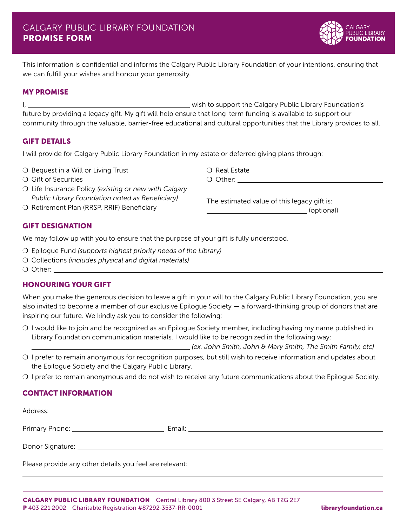

This information is confidential and informs the Calgary Public Library Foundation of your intentions, ensuring that we can fulfill your wishes and honour your generosity.

## MY PROMISE

I, wish to support the Calgary Public Library Foundation's future by providing a legacy gift. My gift will help ensure that long-term funding is available to support our community through the valuable, barrier-free educational and cultural opportunities that the Library provides to all.

## GIFT DETAILS

I will provide for Calgary Public Library Foundation in my estate or deferred giving plans through:

- $\bigcirc$  Bequest in a Will or Living Trust
- ❍ Gift of Securities
- ❍ Life Insurance Policy *(existing or new with Calgary Public Library Foundation noted as Beneficiary)*
- ❍ Retirement Plan (RRSP, RRIF) Beneficiary

❍ Real Estate

❍ Other:

The estimated value of this legacy gift is: (optional)

# GIFT DESIGNATION

We may follow up with you to ensure that the purpose of your gift is fully understood.

- ❍ Epilogue Fund *(supports highest priority needs of the Library)*
- ❍ Collections *(includes physical and digital materials)*
- ❍ Other:

# HONOURING YOUR GIFT

When you make the generous decision to leave a gift in your will to the Calgary Public Library Foundation, you are also invited to become a member of our exclusive Epilogue Society — a forward-thinking group of donors that are inspiring our future. We kindly ask you to consider the following:

❍ I would like to join and be recognized as an Epilogue Society member, including having my name published in Library Foundation communication materials. I would like to be recognized in the following way:

*(ex. John Smith, John & Mary Smith, The Smith Family, etc)*

- ❍ I prefer to remain anonymous for recognition purposes, but still wish to receive information and updates about the Epilogue Society and the Calgary Public Library.
- ❍ I prefer to remain anonymous and do not wish to receive any future communications about the Epilogue Society.

# CONTACT INFORMATION

| Please provide any other details you feel are relevant: |  |
|---------------------------------------------------------|--|